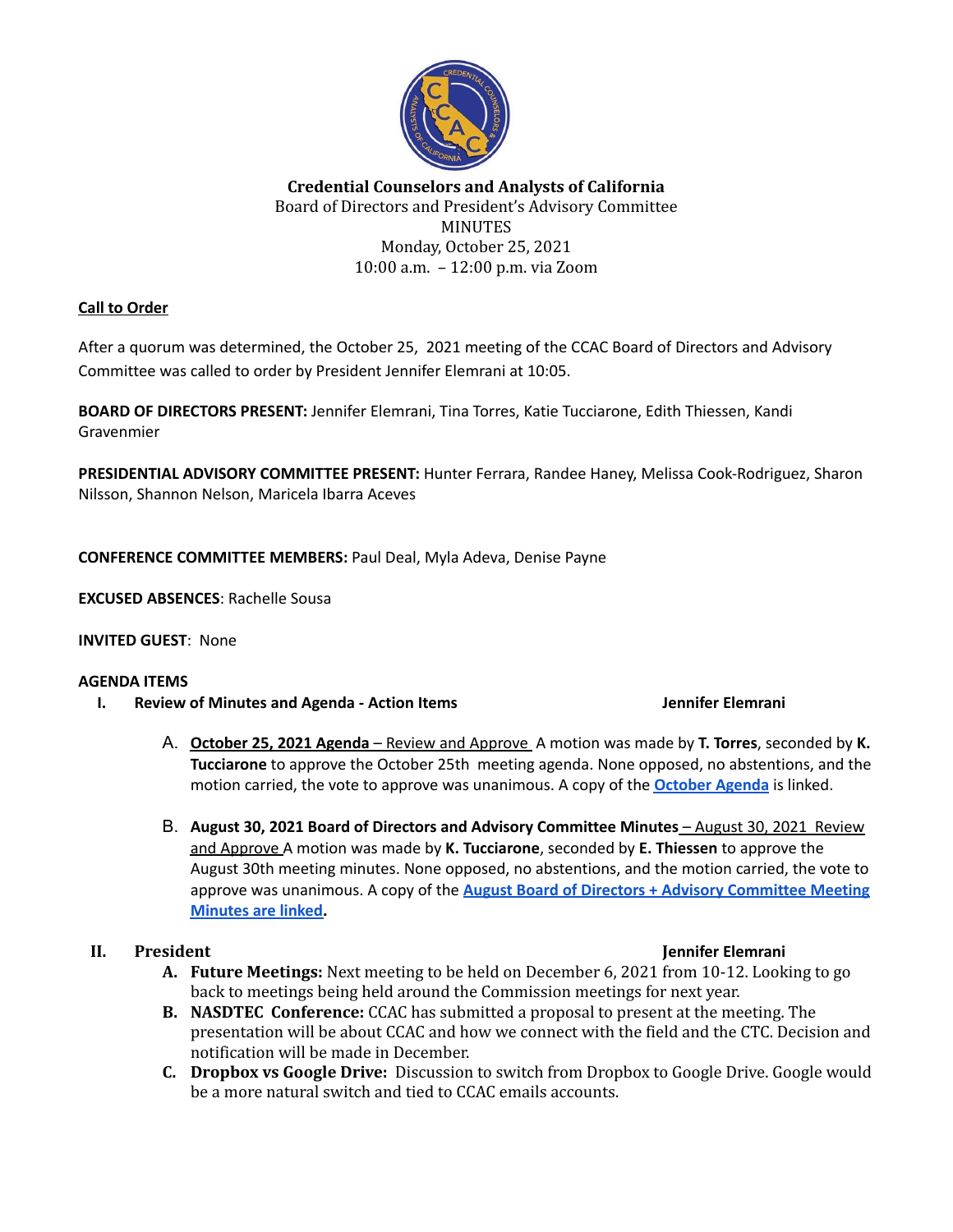

## **Credential Counselors and Analysts of California** Board of Directors and President's Advisory Committee **MINUTES** Monday, October 25, 2021 10:00 a.m. – 12:00 p.m. via Zoom

## **Call to Order**

After a quorum was determined, the October 25, 2021 meeting of the CCAC Board of Directors and Advisory Committee was called to order by President Jennifer Elemrani at 10:05.

**BOARD OF DIRECTORS PRESENT:** Jennifer Elemrani, Tina Torres, Katie Tucciarone, Edith Thiessen, Kandi Gravenmier

**PRESIDENTIAL ADVISORY COMMITTEE PRESENT:** Hunter Ferrara, Randee Haney, Melissa Cook-Rodriguez, Sharon Nilsson, Shannon Nelson, Maricela Ibarra Aceves

**CONFERENCE COMMITTEE MEMBERS:** Paul Deal, Myla Adeva, Denise Payne

**EXCUSED ABSENCES**: Rachelle Sousa

### **INVITED GUEST**: None

### **AGENDA ITEMS**

**I. Review of Minutes and Agenda - Action Items Jennifer Elemrani**

- A. **October 25, 2021 Agenda** Review and Approve A motion was made by **T. Torres**, seconded by **K. Tucciarone** to approve the October 25th meeting agenda. None opposed, no abstentions, and the motion carried, the vote to approve was unanimous. A copy of the **[October](https://docs.google.com/document/d/1DCtkEXPsTyBTTGHll2RvHVGMK9JL5QZM92lOyXgrJzg/edit?usp=sharing) Agenda** is linked.
- B. **August 30, 2021 Board of Directors and Advisory Committee Minutes** August 30, 2021 Review and Approve A motion was made by **K. Tucciarone**, seconded by **E. Thiessen** to approve the August 30th meeting minutes. None opposed, no abstentions, and the motion carried, the vote to approve was unanimous. A copy of the **August Board of Directors + Advisory [Committee](https://docs.google.com/document/d/18i93ZgaaW1u-gijAS9QoMCvssmUboS_fK988IPPgHVc/edit?usp=sharing) Meeting [Minutes](https://docs.google.com/document/d/18i93ZgaaW1u-gijAS9QoMCvssmUboS_fK988IPPgHVc/edit?usp=sharing) are linked.**

- **A. Future Meetings:** Next meeting to be held on December 6, 2021 from 10-12. Looking to go back to meetings being held around the Commission meetings for next year.
- **B. NASDTEC Conference:** CCAC has submitted a proposal to present at the meeting. The presentation will be about CCAC and how we connect with the field and the CTC. Decision and notification will be made in December.
- **C. Dropbox vs Google Drive:** Discussion to switch from Dropbox to Google Drive. Google would be a more natural switch and tied to CCAC emails accounts.

### **II. President Jennifer Elemrani**